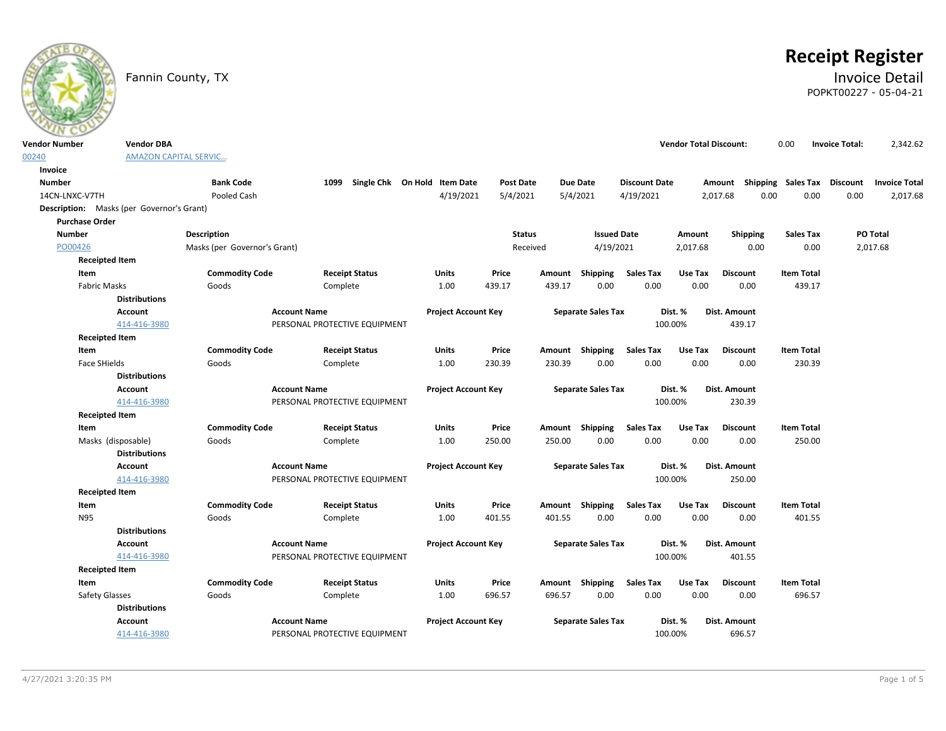

# **Receipt Register**

Fannin County, TX **Invoice Detail** POPKT00227 - 05-04-21

| <b>Vendor Number</b>  | <b>Vendor DBA</b>                         |                              |                               |                                   |                  |          |                           |                      | <b>Vendor Total Discount:</b> |                                    | 0.00              | <b>Invoice Total:</b> | 2,342.62             |
|-----------------------|-------------------------------------------|------------------------------|-------------------------------|-----------------------------------|------------------|----------|---------------------------|----------------------|-------------------------------|------------------------------------|-------------------|-----------------------|----------------------|
| 00240                 |                                           | <b>AMAZON CAPITAL SERVIC</b> |                               |                                   |                  |          |                           |                      |                               |                                    |                   |                       |                      |
| Invoice               |                                           |                              |                               |                                   |                  |          |                           |                      |                               |                                    |                   |                       |                      |
| <b>Number</b>         |                                           | <b>Bank Code</b>             |                               | 1099 Single Chk On Hold Item Date | <b>Post Date</b> |          | <b>Due Date</b>           | <b>Discount Date</b> |                               | Amount Shipping Sales Tax Discount |                   |                       | <b>Invoice Total</b> |
| 14CN-LNXC-V7TH        |                                           | Pooled Cash                  |                               | 4/19/2021                         | 5/4/2021         | 5/4/2021 |                           | 4/19/2021            |                               | 2,017.68                           | 0.00<br>0.00      | 0.00                  | 2,017.68             |
|                       | Description: Masks (per Governor's Grant) |                              |                               |                                   |                  |          |                           |                      |                               |                                    |                   |                       |                      |
| <b>Purchase Order</b> |                                           |                              |                               |                                   |                  |          |                           |                      |                               |                                    |                   |                       |                      |
| <b>Number</b>         |                                           | Description                  |                               |                                   | <b>Status</b>    |          | <b>Issued Date</b>        |                      | Amount                        | <b>Shipping</b>                    | <b>Sales Tax</b>  |                       | PO Total             |
| PO00426               |                                           | Masks (per Governor's Grant) |                               |                                   | Received         |          | 4/19/2021                 |                      | 2,017.68                      | 0.00                               | 0.00              |                       | 2,017.68             |
|                       | <b>Receipted Item</b>                     |                              |                               |                                   |                  |          |                           |                      |                               |                                    |                   |                       |                      |
| Item                  |                                           | <b>Commodity Code</b>        | <b>Receipt Status</b>         | <b>Units</b>                      | Price            |          | Amount Shipping           | <b>Sales Tax</b>     | Use Tax                       | <b>Discount</b>                    | <b>Item Total</b> |                       |                      |
|                       | <b>Fabric Masks</b>                       | Goods                        | Complete                      | 1.00                              | 439.17           | 439.17   | 0.00                      | 0.00                 | 0.00                          | 0.00                               | 439.17            |                       |                      |
|                       | <b>Distributions</b>                      |                              |                               |                                   |                  |          |                           |                      |                               |                                    |                   |                       |                      |
|                       | <b>Account</b>                            |                              | <b>Account Name</b>           | <b>Project Account Key</b>        |                  |          | <b>Separate Sales Tax</b> |                      | Dist. %                       | Dist. Amount                       |                   |                       |                      |
|                       | 414-416-3980                              |                              | PERSONAL PROTECTIVE EQUIPMENT |                                   |                  |          |                           |                      | 100.00%                       | 439.17                             |                   |                       |                      |
|                       | <b>Receipted Item</b>                     |                              |                               |                                   |                  |          |                           |                      |                               |                                    |                   |                       |                      |
| Item                  |                                           | <b>Commodity Code</b>        | <b>Receipt Status</b>         | <b>Units</b>                      | Price            |          | Amount Shipping           | <b>Sales Tax</b>     | Use Tax                       | <b>Discount</b>                    | <b>Item Total</b> |                       |                      |
|                       | Face SHields                              | Goods                        | Complete                      | 1.00                              | 230.39           | 230.39   | 0.00                      | 0.00                 | 0.00                          | 0.00                               | 230.39            |                       |                      |
|                       | <b>Distributions</b>                      |                              |                               |                                   |                  |          |                           |                      |                               |                                    |                   |                       |                      |
|                       | Account                                   |                              | <b>Account Name</b>           | <b>Project Account Key</b>        |                  |          | <b>Separate Sales Tax</b> |                      | Dist. %                       | Dist. Amount                       |                   |                       |                      |
|                       | 414-416-3980                              |                              | PERSONAL PROTECTIVE EQUIPMENT |                                   |                  |          |                           |                      | 100.00%                       | 230.39                             |                   |                       |                      |
|                       | <b>Receipted Item</b>                     |                              |                               |                                   |                  |          |                           |                      |                               |                                    |                   |                       |                      |
| Item                  |                                           | <b>Commodity Code</b>        | <b>Receipt Status</b>         | <b>Units</b>                      | Price            |          | Amount Shipping           | <b>Sales Tax</b>     | Use Tax                       | <b>Discount</b>                    | <b>Item Total</b> |                       |                      |
|                       | Masks (disposable)                        | Goods                        | Complete                      | 1.00                              | 250.00           | 250.00   | 0.00                      | 0.00                 | 0.00                          | 0.00                               | 250.00            |                       |                      |
|                       | <b>Distributions</b>                      |                              |                               |                                   |                  |          |                           |                      |                               |                                    |                   |                       |                      |
|                       | <b>Account</b>                            |                              | <b>Account Name</b>           | <b>Project Account Key</b>        |                  |          | <b>Separate Sales Tax</b> |                      | Dist. %                       | Dist. Amount                       |                   |                       |                      |
|                       | 414-416-3980                              |                              | PERSONAL PROTECTIVE EQUIPMENT |                                   |                  |          |                           |                      | 100.00%                       | 250.00                             |                   |                       |                      |
|                       | <b>Receipted Item</b>                     |                              |                               |                                   |                  |          |                           |                      |                               |                                    |                   |                       |                      |
| Item                  |                                           | <b>Commodity Code</b>        | <b>Receipt Status</b>         | <b>Units</b>                      | Price            |          | Amount Shipping           | <b>Sales Tax</b>     | Use Tax                       | <b>Discount</b>                    | <b>Item Total</b> |                       |                      |
| N95                   |                                           | Goods                        | Complete                      | 1.00                              | 401.55           | 401.55   | 0.00                      | 0.00                 | 0.00                          | 0.00                               | 401.55            |                       |                      |
|                       | <b>Distributions</b>                      |                              |                               |                                   |                  |          |                           |                      |                               |                                    |                   |                       |                      |
|                       | <b>Account</b>                            |                              | <b>Account Name</b>           | <b>Project Account Key</b>        |                  |          | <b>Separate Sales Tax</b> |                      | Dist. %                       | Dist. Amount                       |                   |                       |                      |
|                       | 414-416-3980                              |                              | PERSONAL PROTECTIVE EQUIPMENT |                                   |                  |          |                           |                      | 100.00%                       | 401.55                             |                   |                       |                      |
|                       | <b>Receipted Item</b>                     |                              |                               |                                   |                  |          |                           |                      |                               |                                    |                   |                       |                      |
| Item                  |                                           | <b>Commodity Code</b>        | <b>Receipt Status</b>         | <b>Units</b>                      | Price            |          | Amount Shipping           | <b>Sales Tax</b>     | Use Tax                       | <b>Discount</b>                    | <b>Item Total</b> |                       |                      |
|                       | Safety Glasses                            | Goods                        | Complete                      | 1.00                              | 696.57           | 696.57   | 0.00                      | 0.00                 | 0.00                          | 0.00                               | 696.57            |                       |                      |
|                       | <b>Distributions</b>                      |                              |                               |                                   |                  |          |                           |                      |                               |                                    |                   |                       |                      |
|                       | <b>Account</b>                            |                              | <b>Account Name</b>           | <b>Project Account Key</b>        |                  |          | <b>Separate Sales Tax</b> |                      | Dist. %                       | Dist. Amount                       |                   |                       |                      |
|                       | 414-416-3980                              |                              | PERSONAL PROTECTIVE EQUIPMENT |                                   |                  |          |                           |                      | 100.00%                       | 696.57                             |                   |                       |                      |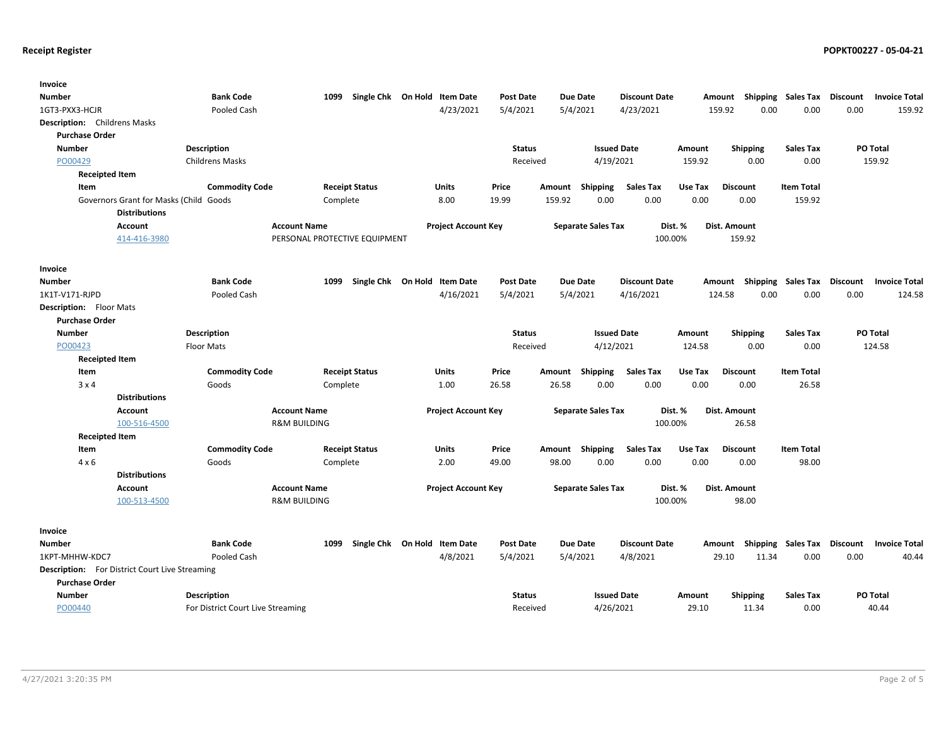| Invoice                                        |                                   |                               |                              |                  |                           |                              |                            |                             |                                            |
|------------------------------------------------|-----------------------------------|-------------------------------|------------------------------|------------------|---------------------------|------------------------------|----------------------------|-----------------------------|--------------------------------------------|
| Number                                         | <b>Bank Code</b>                  | 1099                          | Single Chk On Hold Item Date | <b>Post Date</b> | <b>Due Date</b>           | <b>Discount Date</b>         | Amount Shipping            |                             | Sales Tax Discount<br><b>Invoice Total</b> |
| 1GT3-PXX3-HCJR                                 | Pooled Cash                       |                               | 4/23/2021                    | 5/4/2021         | 5/4/2021                  | 4/23/2021                    | 159.92                     | 0.00<br>0.00                | 0.00<br>159.92                             |
| Description: Childrens Masks                   |                                   |                               |                              |                  |                           |                              |                            |                             |                                            |
| <b>Purchase Order</b>                          |                                   |                               |                              |                  |                           |                              |                            |                             |                                            |
| <b>Number</b>                                  | <b>Description</b>                |                               |                              | <b>Status</b>    |                           | <b>Issued Date</b>           | Amount<br><b>Shipping</b>  | <b>Sales Tax</b>            | PO Total                                   |
| PO00429                                        | <b>Childrens Masks</b>            |                               |                              | Received         |                           | 4/19/2021                    | 0.00<br>159.92             | 0.00                        | 159.92                                     |
| <b>Receipted Item</b>                          |                                   |                               |                              |                  |                           |                              |                            |                             |                                            |
| Item                                           | <b>Commodity Code</b>             | <b>Receipt Status</b>         | <b>Units</b>                 | Price            | Amount                    | Shipping<br><b>Sales Tax</b> | Use Tax<br><b>Discount</b> | <b>Item Total</b>           |                                            |
| Governors Grant for Masks (Child Goods         |                                   | Complete                      | 8.00                         | 19.99            | 159.92                    | 0.00<br>0.00                 | 0.00<br>0.00               | 159.92                      |                                            |
| <b>Distributions</b>                           |                                   |                               |                              |                  |                           |                              |                            |                             |                                            |
| <b>Account</b>                                 | <b>Account Name</b>               |                               | <b>Project Account Key</b>   |                  | <b>Separate Sales Tax</b> |                              | Dist. %<br>Dist. Amount    |                             |                                            |
| 414-416-3980                                   |                                   | PERSONAL PROTECTIVE EQUIPMENT |                              |                  |                           | 100.00%                      | 159.92                     |                             |                                            |
|                                                |                                   |                               |                              |                  |                           |                              |                            |                             |                                            |
| Invoice                                        |                                   |                               |                              |                  |                           |                              |                            |                             |                                            |
| <b>Number</b>                                  | <b>Bank Code</b>                  | 1099<br>Single Chk On Hold    | <b>Item Date</b>             | <b>Post Date</b> | <b>Due Date</b>           | <b>Discount Date</b>         | Shipping<br>Amount         |                             | Sales Tax Discount<br><b>Invoice Total</b> |
| 1K1T-V171-RJPD                                 | Pooled Cash                       |                               | 4/16/2021                    | 5/4/2021         | 5/4/2021                  | 4/16/2021                    | 124.58                     | 0.00<br>0.00                | 0.00<br>124.58                             |
| <b>Description:</b> Floor Mats                 |                                   |                               |                              |                  |                           |                              |                            |                             |                                            |
| <b>Purchase Order</b>                          |                                   |                               |                              |                  |                           |                              |                            |                             |                                            |
| <b>Number</b>                                  | Description                       |                               |                              | <b>Status</b>    |                           | <b>Issued Date</b>           | Shipping<br>Amount         | <b>Sales Tax</b>            | PO Total                                   |
| PO00423                                        | Floor Mats                        |                               |                              | Received         |                           | 4/12/2021                    | 0.00<br>124.58             | 0.00                        | 124.58                                     |
| <b>Receipted Item</b>                          |                                   |                               |                              |                  |                           |                              |                            |                             |                                            |
| Item                                           | <b>Commodity Code</b>             | <b>Receipt Status</b>         | Units                        | Price            | Amount                    | <b>Sales Tax</b><br>Shipping | Use Tax<br><b>Discount</b> | <b>Item Total</b>           |                                            |
| $3 \times 4$                                   | Goods                             | Complete                      | 1.00                         | 26.58            | 26.58                     | 0.00<br>0.00                 | 0.00<br>0.00               | 26.58                       |                                            |
| <b>Distributions</b>                           |                                   |                               |                              |                  |                           |                              |                            |                             |                                            |
| <b>Account</b>                                 | <b>Account Name</b>               |                               | <b>Project Account Key</b>   |                  | <b>Separate Sales Tax</b> |                              | Dist. %<br>Dist. Amount    |                             |                                            |
| 100-516-4500                                   | <b>R&amp;M BUILDING</b>           |                               |                              |                  |                           | 100.00%                      | 26.58                      |                             |                                            |
| <b>Receipted Item</b>                          |                                   |                               |                              |                  |                           |                              |                            |                             |                                            |
| Item                                           | <b>Commodity Code</b>             | <b>Receipt Status</b>         | Units                        | Price            | Amount Shipping           | <b>Sales Tax</b>             | Use Tax<br><b>Discount</b> | <b>Item Total</b>           |                                            |
| $4 \times 6$                                   | Goods                             | Complete                      | 2.00                         | 49.00            | 98.00                     | 0.00<br>0.00                 | 0.00<br>0.00               | 98.00                       |                                            |
| <b>Distributions</b>                           |                                   |                               |                              |                  |                           |                              |                            |                             |                                            |
| Account                                        | <b>Account Name</b>               |                               | <b>Project Account Key</b>   |                  | <b>Separate Sales Tax</b> |                              | Dist. %<br>Dist. Amount    |                             |                                            |
| 100-513-4500                                   | <b>R&amp;M BUILDING</b>           |                               |                              |                  |                           | 100.00%                      | 98.00                      |                             |                                            |
|                                                |                                   |                               |                              |                  |                           |                              |                            |                             |                                            |
| Invoice                                        |                                   |                               |                              |                  |                           |                              |                            |                             |                                            |
| <b>Number</b>                                  | <b>Bank Code</b>                  | 1099                          | Single Chk On Hold Item Date | <b>Post Date</b> | <b>Due Date</b>           | <b>Discount Date</b>         | Amount                     | Shipping Sales Tax Discount | <b>Invoice Total</b>                       |
| 1KPT-MHHW-KDC7                                 | Pooled Cash                       |                               | 4/8/2021                     | 5/4/2021         | 5/4/2021                  | 4/8/2021                     | 29.10                      | 11.34<br>0.00               | 0.00<br>40.44                              |
| Description: For District Court Live Streaming |                                   |                               |                              |                  |                           |                              |                            |                             |                                            |
| <b>Purchase Order</b>                          |                                   |                               |                              |                  |                           |                              |                            |                             |                                            |
| <b>Number</b>                                  | Description                       |                               |                              | <b>Status</b>    |                           | <b>Issued Date</b>           | Amount<br><b>Shipping</b>  | <b>Sales Tax</b>            | PO Total                                   |
| PO00440                                        | For District Court Live Streaming |                               |                              | Received         |                           | 4/26/2021                    | 29.10<br>11.34             | 0.00                        | 40.44                                      |
|                                                |                                   |                               |                              |                  |                           |                              |                            |                             |                                            |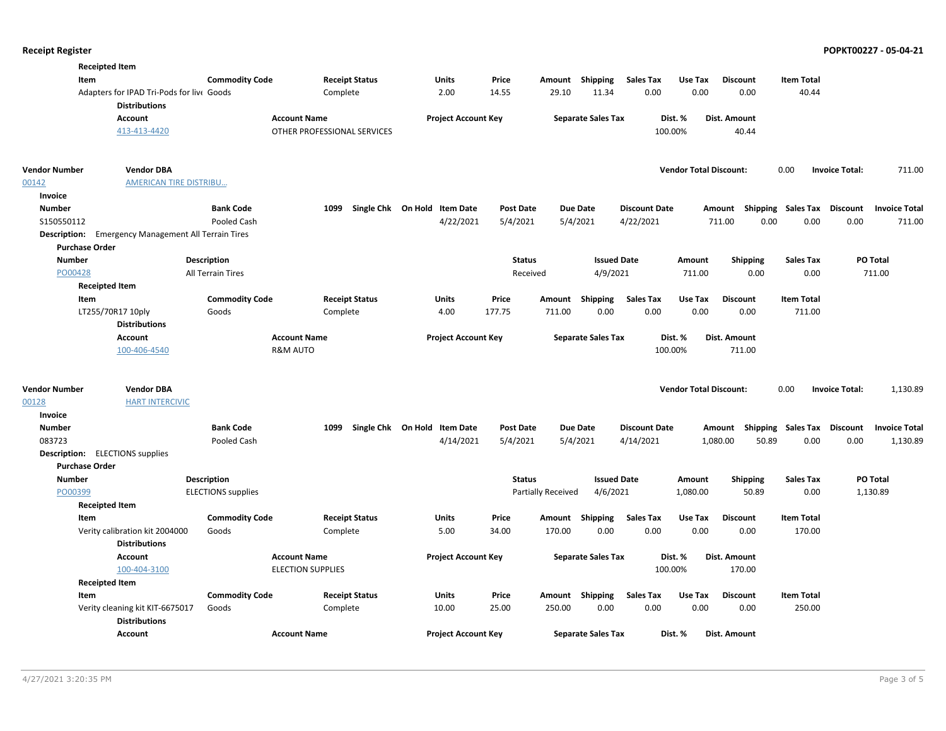|                       | <b>Receipted Item</b>                                             |                           |                             |                                   |                  |                    |                           |                      |                               |                                    |                    |                       |                      |
|-----------------------|-------------------------------------------------------------------|---------------------------|-----------------------------|-----------------------------------|------------------|--------------------|---------------------------|----------------------|-------------------------------|------------------------------------|--------------------|-----------------------|----------------------|
| Item                  |                                                                   | <b>Commodity Code</b>     | <b>Receipt Status</b>       | Units                             | Price            |                    | Amount Shipping           | <b>Sales Tax</b>     | Use Tax                       | <b>Discount</b>                    | <b>Item Total</b>  |                       |                      |
|                       | Adapters for IPAD Tri-Pods for live Goods<br><b>Distributions</b> |                           | Complete                    | 2.00                              | 14.55            | 29.10              | 11.34                     | 0.00                 | 0.00                          | 0.00                               | 40.44              |                       |                      |
|                       | <b>Account</b>                                                    |                           | <b>Account Name</b>         | <b>Project Account Key</b>        |                  |                    | <b>Separate Sales Tax</b> |                      | Dist. %                       | Dist. Amount                       |                    |                       |                      |
|                       | 413-413-4420                                                      |                           | OTHER PROFESSIONAL SERVICES |                                   |                  |                    |                           | 100.00%              |                               | 40.44                              |                    |                       |                      |
| <b>Vendor Number</b>  | <b>Vendor DBA</b>                                                 |                           |                             |                                   |                  |                    |                           |                      | <b>Vendor Total Discount:</b> |                                    | 0.00               | <b>Invoice Total:</b> | 711.00               |
| 00142                 | <b>AMERICAN TIRE DISTRIBU</b>                                     |                           |                             |                                   |                  |                    |                           |                      |                               |                                    |                    |                       |                      |
| Invoice               |                                                                   |                           |                             |                                   |                  |                    |                           |                      |                               |                                    |                    |                       |                      |
| <b>Number</b>         |                                                                   | <b>Bank Code</b>          | 1099                        | Single Chk On Hold Item Date      | <b>Post Date</b> |                    | <b>Due Date</b>           | <b>Discount Date</b> |                               | Amount                             | Shipping Sales Tax | Discount              | <b>Invoice Total</b> |
| S150550112            |                                                                   | Pooled Cash               |                             | 4/22/2021                         | 5/4/2021         | 5/4/2021           |                           | 4/22/2021            |                               | 0.00<br>711.00                     | 0.00               | 0.00                  | 711.00               |
|                       | <b>Description:</b> Emergency Management All Terrain Tires        |                           |                             |                                   |                  |                    |                           |                      |                               |                                    |                    |                       |                      |
| <b>Purchase Order</b> |                                                                   |                           |                             |                                   |                  |                    |                           |                      |                               |                                    |                    |                       |                      |
| <b>Number</b>         |                                                                   | <b>Description</b>        |                             |                                   | <b>Status</b>    |                    | <b>Issued Date</b>        |                      | Amount                        | <b>Shipping</b>                    | <b>Sales Tax</b>   | PO Total              |                      |
| PO00428               |                                                                   | All Terrain Tires         |                             |                                   | Received         |                    | 4/9/2021                  |                      | 711.00                        | 0.00                               | 0.00               | 711.00                |                      |
|                       | <b>Receipted Item</b>                                             |                           |                             |                                   |                  |                    |                           |                      |                               |                                    |                    |                       |                      |
| Item                  |                                                                   | <b>Commodity Code</b>     | <b>Receipt Status</b>       | Units                             | Price            | Amount             | Shipping                  | <b>Sales Tax</b>     | Use Tax                       | <b>Discount</b>                    | <b>Item Total</b>  |                       |                      |
|                       | LT255/70R17 10ply                                                 | Goods                     | Complete                    | 4.00                              | 177.75           | 711.00             | 0.00                      | 0.00                 | 0.00                          | 0.00                               | 711.00             |                       |                      |
|                       | <b>Distributions</b>                                              |                           |                             |                                   |                  |                    |                           |                      |                               |                                    |                    |                       |                      |
|                       | <b>Account</b>                                                    |                           | <b>Account Name</b>         | <b>Project Account Key</b>        |                  |                    | <b>Separate Sales Tax</b> |                      | Dist. %                       | Dist. Amount                       |                    |                       |                      |
|                       | 100-406-4540                                                      |                           | <b>R&amp;M AUTO</b>         |                                   |                  |                    |                           | 100.00%              |                               | 711.00                             |                    |                       |                      |
|                       |                                                                   |                           |                             |                                   |                  |                    |                           |                      |                               |                                    |                    |                       |                      |
| Vendor Number         | <b>Vendor DBA</b>                                                 |                           |                             |                                   |                  |                    |                           |                      | <b>Vendor Total Discount:</b> |                                    | 0.00               | <b>Invoice Total:</b> | 1,130.89             |
| 00128                 | <b>HART INTERCIVIC</b>                                            |                           |                             |                                   |                  |                    |                           |                      |                               |                                    |                    |                       |                      |
| Invoice               |                                                                   |                           |                             |                                   |                  |                    |                           |                      |                               |                                    |                    |                       |                      |
| <b>Number</b>         |                                                                   | <b>Bank Code</b>          |                             | 1099 Single Chk On Hold Item Date | <b>Post Date</b> |                    | <b>Due Date</b>           | <b>Discount Date</b> |                               | Amount Shipping Sales Tax Discount |                    |                       | <b>Invoice Total</b> |
| 083723                |                                                                   | Pooled Cash               |                             | 4/14/2021                         | 5/4/2021         |                    | 5/4/2021                  | 4/14/2021            |                               | 1,080.00<br>50.89                  | 0.00               | 0.00                  | 1,130.89             |
|                       | <b>Description:</b> ELECTIONS supplies                            |                           |                             |                                   |                  |                    |                           |                      |                               |                                    |                    |                       |                      |
| <b>Purchase Order</b> |                                                                   |                           |                             |                                   |                  |                    |                           |                      |                               |                                    |                    |                       |                      |
| <b>Number</b>         |                                                                   | <b>Description</b>        |                             |                                   | <b>Status</b>    |                    | <b>Issued Date</b>        |                      | Amount                        | <b>Shipping</b>                    | <b>Sales Tax</b>   | <b>PO Total</b>       |                      |
| PO00399               |                                                                   | <b>ELECTIONS</b> supplies |                             |                                   |                  | Partially Received | 4/6/2021                  |                      | 1,080.00                      | 50.89                              | 0.00               | 1,130.89              |                      |
|                       | <b>Receipted Item</b>                                             |                           |                             |                                   |                  |                    |                           |                      |                               |                                    |                    |                       |                      |
| Item                  |                                                                   | <b>Commodity Code</b>     | <b>Receipt Status</b>       | <b>Units</b>                      | Price            |                    | Amount Shipping           | <b>Sales Tax</b>     | Use Tax                       | <b>Discount</b>                    | <b>Item Total</b>  |                       |                      |
|                       | Verity calibration kit 2004000                                    | Goods                     | Complete                    | 5.00                              | 34.00            | 170.00             | 0.00                      | 0.00                 | 0.00                          | 0.00                               | 170.00             |                       |                      |
|                       | <b>Distributions</b>                                              |                           |                             |                                   |                  |                    |                           |                      |                               |                                    |                    |                       |                      |
|                       | <b>Account</b>                                                    |                           | <b>Account Name</b>         | <b>Project Account Key</b>        |                  |                    | <b>Separate Sales Tax</b> |                      | Dist. %                       | Dist. Amount                       |                    |                       |                      |
|                       | 100-404-3100                                                      |                           | <b>ELECTION SUPPLIES</b>    |                                   |                  |                    |                           | 100.00%              |                               | 170.00                             |                    |                       |                      |
|                       | <b>Receipted Item</b>                                             |                           |                             |                                   |                  |                    |                           |                      |                               |                                    |                    |                       |                      |
| Item                  |                                                                   | <b>Commodity Code</b>     | <b>Receipt Status</b>       | Units                             | Price            |                    | Amount Shipping           | <b>Sales Tax</b>     | Use Tax                       | <b>Discount</b>                    | <b>Item Total</b>  |                       |                      |
|                       | Verity cleaning kit KIT-6675017<br><b>Distributions</b>           | Goods                     | Complete                    | 10.00                             | 25.00            | 250.00             | 0.00                      | 0.00                 | 0.00                          | 0.00                               | 250.00             |                       |                      |
|                       | <b>Account</b>                                                    |                           | <b>Account Name</b>         | <b>Project Account Key</b>        |                  |                    | <b>Separate Sales Tax</b> |                      | Dist. %                       | Dist. Amount                       |                    |                       |                      |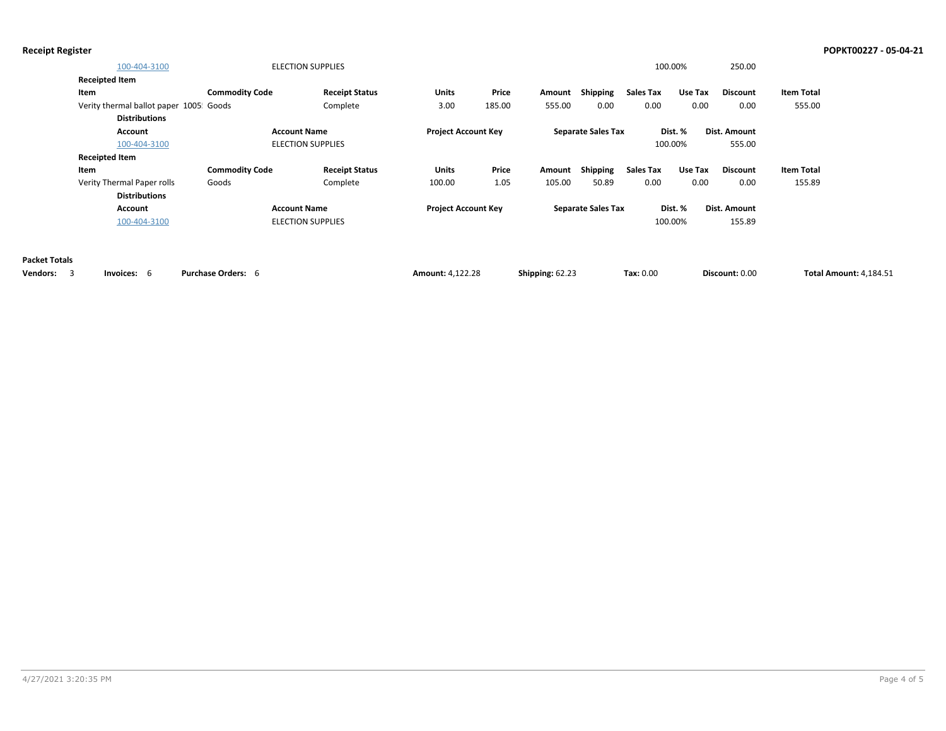| 100-404-3100                           |                       | <b>ELECTION SUPPLIES</b> |                            |        |        |                           |                  | 100.00% | 250.00          |                   |
|----------------------------------------|-----------------------|--------------------------|----------------------------|--------|--------|---------------------------|------------------|---------|-----------------|-------------------|
| <b>Receipted Item</b>                  |                       |                          |                            |        |        |                           |                  |         |                 |                   |
| Item                                   | <b>Commodity Code</b> | <b>Receipt Status</b>    | <b>Units</b>               | Price  | Amount | Shipping                  | <b>Sales Tax</b> | Use Tax | Discount        | <b>Item Total</b> |
| Verity thermal ballot paper 1005 Goods |                       | Complete                 | 3.00                       | 185.00 | 555.00 | 0.00                      | 0.00             | 0.00    | 0.00            | 555.00            |
| <b>Distributions</b>                   |                       |                          |                            |        |        |                           |                  |         |                 |                   |
| Account                                |                       | <b>Account Name</b>      | <b>Project Account Key</b> |        |        | <b>Separate Sales Tax</b> |                  | Dist. % | Dist. Amount    |                   |
| 100-404-3100                           |                       | <b>ELECTION SUPPLIES</b> |                            |        |        |                           |                  | 100.00% | 555.00          |                   |
| <b>Receipted Item</b>                  |                       |                          |                            |        |        |                           |                  |         |                 |                   |
| Item                                   | <b>Commodity Code</b> | <b>Receipt Status</b>    | <b>Units</b>               | Price  | Amount | Shipping                  | Sales Tax        | Use Tax | <b>Discount</b> | Item Total        |
| Verity Thermal Paper rolls             | Goods                 | Complete                 | 100.00                     | 1.05   | 105.00 | 50.89                     | 0.00             | 0.00    | 0.00            | 155.89            |
| <b>Distributions</b>                   |                       |                          |                            |        |        |                           |                  |         |                 |                   |
| Account                                |                       | <b>Account Name</b>      | <b>Project Account Key</b> |        |        | <b>Separate Sales Tax</b> |                  | Dist. % | Dist. Amount    |                   |
| 100-404-3100                           |                       | <b>ELECTION SUPPLIES</b> |                            |        |        |                           |                  | 100.00% | 155.89          |                   |
|                                        |                       |                          |                            |        |        |                           |                  |         |                 |                   |

**Packet Totals**

| Vendors: | Invoices <sup>.</sup> | <b>Purchase Orders:</b> | Amount: 4.122.28 | Shipping: 62.23 | $\textsf{Tax: } 0.00$ | Discount: 0.00 | <b>Total Amount: 4.184.51</b> |
|----------|-----------------------|-------------------------|------------------|-----------------|-----------------------|----------------|-------------------------------|
|----------|-----------------------|-------------------------|------------------|-----------------|-----------------------|----------------|-------------------------------|